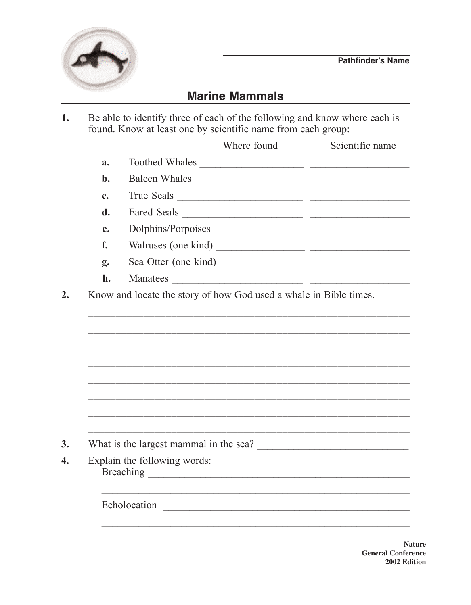

## **Marine Mammals**

Be able to identify three of each of the following and know where each is found. Know at least one by scientific name from each group: 1.

|             |                              | Where found                                                       | Scientific name |
|-------------|------------------------------|-------------------------------------------------------------------|-----------------|
| a.          |                              | Toothed Whales                                                    |                 |
| $b$ .       |                              |                                                                   |                 |
| $c_{\cdot}$ |                              | True Seals                                                        |                 |
| d.          |                              | Eared Seals                                                       |                 |
| e.          |                              |                                                                   |                 |
| f.          |                              |                                                                   |                 |
| g.          |                              | Sea Otter (one kind)                                              |                 |
| h.          | Manatees                     |                                                                   |                 |
|             |                              | Know and locate the story of how God used a whale in Bible times. |                 |
|             |                              |                                                                   |                 |
|             |                              |                                                                   |                 |
|             |                              |                                                                   |                 |
|             | Explain the following words: |                                                                   |                 |

**Nature General Conference** 2002 Edition